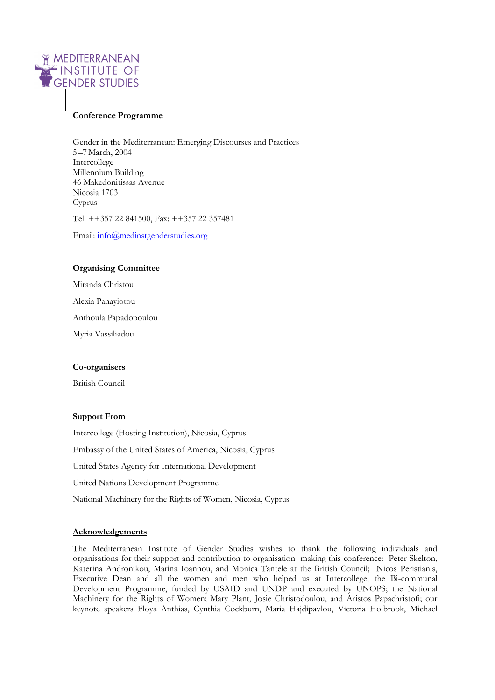

# **Conference Programme**

Gender in the Mediterranean: Emerging Discourses and Practices 5 –7 March, 2004 Intercollege Millennium Building 46 Makedonitissas Avenue Nicosia 1703 Cyprus Tel: ++357 22 841500, Fax: ++357 22 357481

Email: info@medinstgenderstudies.org

# **Organising Committee**

Miranda Christou Alexia Panayiotou Anthoula Papadopoulou Myria Vassiliadou

# **Co-organisers**

British Council

# **Support From**

Intercollege (Hosting Institution), Nicosia, Cyprus Embassy of the United States of America, Nicosia, Cyprus United States Agency for International Development United Nations Development Programme National Machinery for the Rights of Women, Nicosia, Cyprus

# **Acknowledgements**

The Mediterranean Institute of Gender Studies wishes to thank the following individuals and organisations for their support and contribution to organisation making this conference: Peter Skelton, Katerina Andronikou, Marina Ioannou, and Monica Tantele at the British Council; Nicos Peristianis, Executive Dean and all the women and men who helped us at Intercollege; the Bi-communal Development Programme, funded by USAID and UNDP and executed by UNOPS; the National Machinery for the Rights of Women; Mary Plant, Josie Christodoulou, and Aristos Papachristofi; our keynote speakers Floya Anthias, Cynthia Cockburn, Maria Hajdipavlou, Victoria Holbrook, Michael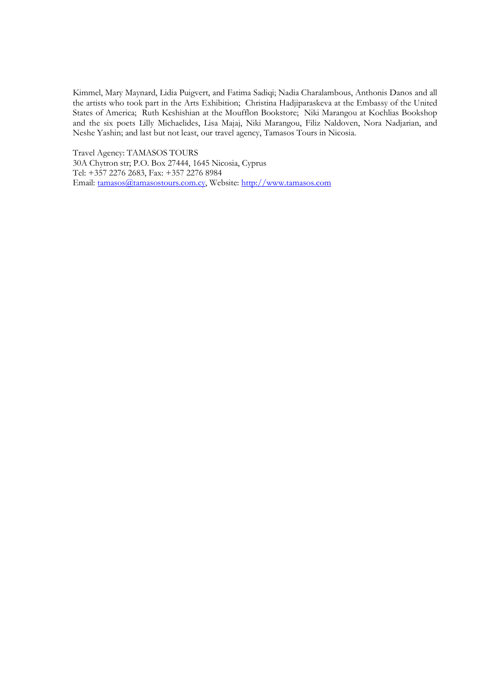Kimmel, Mary Maynard, Lidia Puigvert, and Fatima Sadiqi; Nadia Charalambous, Anthonis Danos and all the artists who took part in the Arts Exhibition; Christina Hadjiparaskeva at the Embassy of the United States of America; Ruth Keshishian at the Moufflon Bookstore; Niki Marangou at Kochlias Bookshop and the six poets Lilly Michaelides, Lisa Majaj, Niki Marangou, Filiz Naldoven, Nora Nadjarian, and Neshe Yashin; and last but not least, our travel agency, Tamasos Tours in Nicosia.

Travel Agency: TAMASOS TOURS 30A Chytron str; P.O. Box 27444, 1645 Nicosia, Cyprus Tel: +357 2276 2683, Fax: +357 2276 8984 Email: tamasos@tamasostours.com.cy, Website: http://www.tamasos.com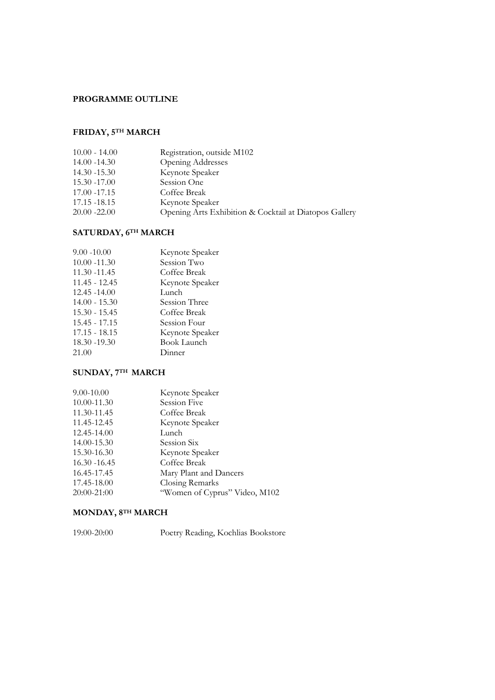# **PROGRAMME OUTLINE**

# **FRIDAY, 5TH MARCH**

| $10.00 - 14.00$ | Registration, outside M102                             |
|-----------------|--------------------------------------------------------|
| 14.00 - 14.30   | <b>Opening Addresses</b>                               |
| 14.30 -15.30    | Keynote Speaker                                        |
| 15.30 -17.00    | Session One                                            |
| 17.00 - 17.15   | Coffee Break                                           |
| 17.15 -18.15    | Keynote Speaker                                        |
| 20.00 -22.00    | Opening Arts Exhibition & Cocktail at Diatopos Gallery |
|                 |                                                        |

# **SATURDAY, 6TH MARCH**

| $9.00 - 10.00$  | Keynote Speaker    |
|-----------------|--------------------|
| $10.00 - 11.30$ | Session Two        |
| 11.30 -11.45    | Coffee Break       |
| $11.45 - 12.45$ | Keynote Speaker    |
| $12.45 - 14.00$ | Lunch              |
| $14.00 - 15.30$ | Session Three      |
| $15.30 - 15.45$ | Coffee Break       |
| $15.45 - 17.15$ | Session Four       |
| $17.15 - 18.15$ | Keynote Speaker    |
| 18.30 - 19.30   | <b>Book Launch</b> |
| 21.00           | Dinner             |
|                 |                    |

# **SUNDAY, 7TH MARCH**

| Keynote Speaker               |
|-------------------------------|
| Session Five                  |
| Coffee Break                  |
| Keynote Speaker               |
| Lunch                         |
| Session Six                   |
| Keynote Speaker               |
| Coffee Break                  |
| Mary Plant and Dancers        |
| Closing Remarks               |
| "Women of Cyprus" Video, M102 |
|                               |

# **MONDAY, 8TH MARCH**

19:00-20:00 Poetry Reading, Kochlias Bookstore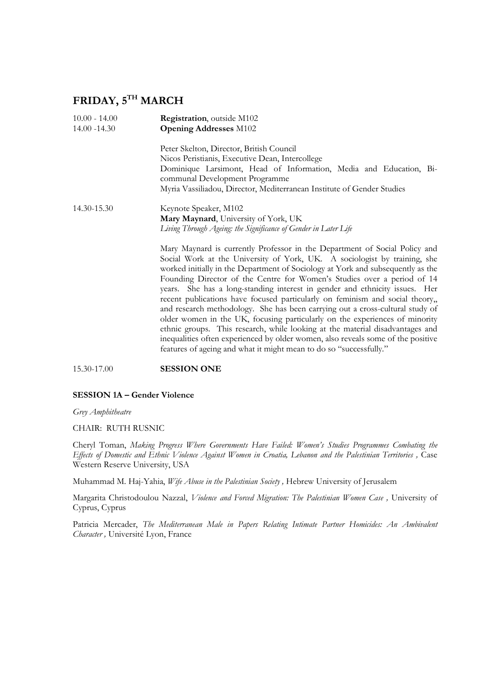# **FRIDAY, 5TH MARCH**

| $10.00 - 14.00$<br>$14.00 - 14.30$ | Registration, outside M102<br><b>Opening Addresses M102</b>                                                                                                                                                                                                                                                                                                                                                                                                                                                                                                                                                                                                                                                                                                                                                                                                                                      |  |  |
|------------------------------------|--------------------------------------------------------------------------------------------------------------------------------------------------------------------------------------------------------------------------------------------------------------------------------------------------------------------------------------------------------------------------------------------------------------------------------------------------------------------------------------------------------------------------------------------------------------------------------------------------------------------------------------------------------------------------------------------------------------------------------------------------------------------------------------------------------------------------------------------------------------------------------------------------|--|--|
|                                    | Peter Skelton, Director, British Council<br>Nicos Peristianis, Executive Dean, Intercollege<br>Dominique Larsimont, Head of Information, Media and Education, Bi-<br>communal Development Programme<br>Myria Vassiliadou, Director, Mediterranean Institute of Gender Studies                                                                                                                                                                                                                                                                                                                                                                                                                                                                                                                                                                                                                    |  |  |
| 14.30-15.30                        | Keynote Speaker, M102<br>Mary Maynard, University of York, UK<br>Living Through Ageing: the Significance of Gender in Later Life                                                                                                                                                                                                                                                                                                                                                                                                                                                                                                                                                                                                                                                                                                                                                                 |  |  |
|                                    | Mary Maynard is currently Professor in the Department of Social Policy and<br>Social Work at the University of York, UK. A sociologist by training, she<br>worked initially in the Department of Sociology at York and subsequently as the<br>Founding Director of the Centre for Women's Studies over a period of 14<br>years. She has a long-standing interest in gender and ethnicity issues. Her<br>recent publications have focused particularly on feminism and social theory,,<br>and research methodology. She has been carrying out a cross-cultural study of<br>older women in the UK, focusing particularly on the experiences of minority<br>ethnic groups. This research, while looking at the material disadvantages and<br>inequalities often experienced by older women, also reveals some of the positive<br>features of ageing and what it might mean to do so "successfully." |  |  |

15.30-17.00 **SESSION ONE**

# **SESSION 1A – Gender Violence**

*Grey Amphitheatre* 

CHAIR: RUTH RUSNIC

Cheryl Toman, *Making Progress Where Governments Have Failed: Women's Studies Programmes Combating the Effects of Domestic and Ethnic Violence Against Women in Croatia, Lebanon and the Palestinian Territories ,* Case Western Reserve University, USA

Muhammad M. Haj-Yahia, *Wife Abuse in the Palestinian Society ,* Hebrew University of Jerusalem

Margarita Christodoulou Nazzal, *Violence and Forced Migration: The Palestinian Women Case ,* University of Cyprus, Cyprus

Patricia Mercader, *The Mediterranean Male in Papers Relating Intimate Partner Homicides: An Ambivalent Character ,* Université Lyon, France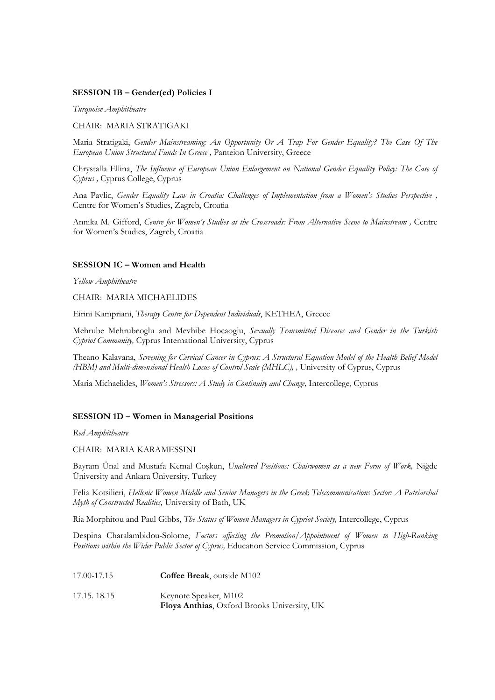# **SESSION 1B – Gender(ed) Policies I**

*Turquoise Amphitheatre* 

CHAIR: MARIA STRATIGAKI

Maria Stratigaki, *Gender Mainstreaming: An Opportunity Or A Trap For Gender Equality? The Case Of The European Union Structural Funds In Greece ,* Panteion University, Greece

Chrystalla Ellina, *The Influence of European Union Enlargement on National Gender Equality Policy: The Case of Cyprus ,* Cyprus College, Cyprus

Ana Pavlic, *Gender Equality Law in Croatia: Challenges of Implementation from a Women's Studies Perspective ,* Centre for Women's Studies, Zagreb, Croatia

Annika M. Gifford, *Centre for Women's Studies at the Crossroads: From Alternative Scene to Mainstream ,* Centre for Women's Studies, Zagreb, Croatia

# **SESSION 1C – Women and Health**

*Yellow Amphitheatre* 

CHAIR: MARIA MICHAELIDES

Eirini Kampriani, *Therapy Centre for Dependent Individuals*, KETHEA, Greece

Mehrube Mehrubeoglu and Mevhibe Hocaoglu, *Sexually Transmitted Diseases and Gender in the Turkish Cypriot Community,* Cyprus International University, Cyprus

Theano Kalavana, *Screening for Cervical Cancer in Cyprus: A Structural Equation Model of the Health Belief Model (HBM) and Multi-dimensional Health Locus of Control Scale (MHLC), ,* University of Cyprus, Cyprus

Maria Michaelides, *Women's Stressors: A Study in Continuity and Change,* Intercollege, Cyprus

# **SESSION 1D – Women in Managerial Positions**

*Red Amphitheatre* 

CHAIR: MARIA KARAMESSINI

Bayram Ünal and Mustafa Kemal Coşkun, *Unaltered Positions: Chairwomen as a new Form of Work,* Niğde Üniversity and Ankara Üniversity, Turkey

Felia Kotsilieri, *Hellenic Women Middle and Senior Managers in the Greek Telecommunications Sector: A Patriarchal Myth of Constructed Realities,* University of Bath, UK

Ria Morphitou and Paul Gibbs, *The Status of Women Managers in Cypriot Society,* Intercollege, Cyprus

Despina Charalambidou-Solome, *Factors affecting the Promotion/Appointment of Women to High-Ranking Positions within the Wider Public Sector of Cyprus,* Education Service Commission, Cyprus

| 17.00-17.15 | <b>Coffee Break</b> , outside M102                                          |
|-------------|-----------------------------------------------------------------------------|
| 17.15.18.15 | Keynote Speaker, M102<br><b>Floya Anthias, Oxford Brooks University, UK</b> |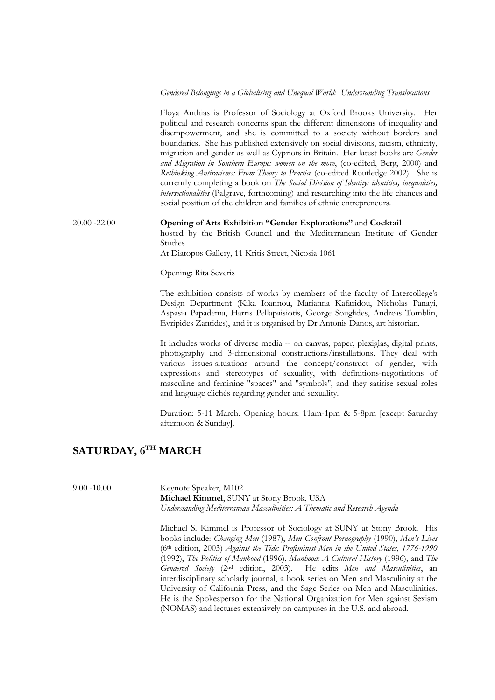#### *Gendered Belongings in a Globalising and Unequal World: Understanding Translocations*

Floya Anthias is Professor of Sociology at Oxford Brooks University. Her political and research concerns span the different dimensions of inequality and disempowerment, and she is committed to a society without borders and boundaries. She has published extensively on social divisions, racism, ethnicity, migration and gender as well as Cypriots in Britain. Her latest books are *Gender and Migration in Southern Europe: women on the move*, (co-edited, Berg, 2000) and *Rethinking Antiracisms: From Theory to Practice* (co-edited Routledge 2002). She is currently completing a book on *The Social Division of Identity: identities, inequalities, intersectionalities* (Palgrave, forthcoming) and researching into the life chances and social position of the children and families of ethnic entrepreneurs.

20.00 -22.00 **Opening of Arts Exhibition "Gender Explorations"** and **Cocktail** hosted by the British Council and the Mediterranean Institute of Gender

Studies

At Diatopos Gallery, 11 Kritis Street, Nicosia 1061

Opening: Rita Severis

The exhibition consists of works by members of the faculty of Intercollege's Design Department (Kika Ioannou, Marianna Kafaridou, Nicholas Panayi, Aspasia Papadema, Harris Pellapaisiotis, George Souglides, Andreas Tomblin, Evripides Zantides), and it is organised by Dr Antonis Danos, art historian.

It includes works of diverse media -- on canvas, paper, plexiglas, digital prints, photography and 3-dimensional constructions/installations. They deal with various issues-situations around the concept/construct of gender, with expressions and stereotypes of sexuality, with definitions-negotiations of masculine and feminine "spaces" and "symbols", and they satirise sexual roles and language clichés regarding gender and sexuality.

Duration: 5-11 March. Opening hours: 11am-1pm & 5-8pm [except Saturday afternoon & Sunday].

# **SATURDAY, 6TH MARCH**

9.00 -10.00 Keynote Speaker, M102 **Michael Kimmel**, SUNY at Stony Brook, USA *Understanding Mediterranean Masculinities: A Thematic and Research Agenda*

> Michael S. Kimmel is Professor of Sociology at SUNY at Stony Brook. His books include: *Changing Men* (1987), *Men Confront Pornography* (1990), *Men's Lives* (6th edition, 2003) *Against the Tide: Profeminist Men in the United States*, *1776-1990*  (1992), *The Politics of Manhood* (1996), *Manhood: A Cultural History* (1996), and *The Gendered Society* (2nd edition, 2003). He edits *Men and Masculinities*, an interdisciplinary scholarly journal, a book series on Men and Masculinity at the University of California Press, and the Sage Series on Men and Masculinities. He is the Spokesperson for the National Organization for Men against Sexism (NOMAS) and lectures extensively on campuses in the U.S. and abroad.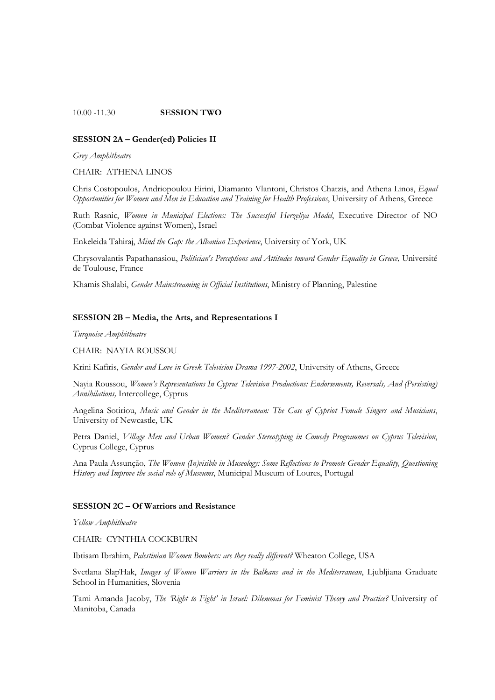#### 10.00 -11.30 **SESSION TWO**

#### **SESSION 2A – Gender(ed) Policies II**

*Grey Amphitheatre* 

CHAIR: ATHENA LINOS

Chris Costopoulos, Andriopoulou Eirini, Diamanto Vlantoni, Christos Chatzis, and Athena Linos, *Equal Opportunities for Women and Men in Education and Training for Health Professions*, University of Athens, Greece

Ruth Rasnic, *Women in Municipal Elections: The Successful Herzeliya Model*, Executive Director of NO (Combat Violence against Women), Israel

Enkeleida Tahiraj, *Mind the Gap: the Albanian Experience*, University of York, UK

Chrysovalantis Papathanasiou, *Politician's Perceptions and Attitudes toward Gender Equality in Greece,* Université de Toulouse, France

Khamis Shalabi, *Gender Mainstreaming in Official Institutions*, Ministry of Planning, Palestine

### **SESSION 2B – Media, the Arts, and Representations I**

*Turquoise Amphitheatre* 

CHAIR: NAYIA ROUSSOU

Krini Kafiris, *Gender and Love in Greek Television Drama 1997-2002*, University of Athens, Greece

Nayia Roussou, *Women's Representations In Cyprus Television Productions: Endorsements, Reversals, And (Persisting) Annihilations,* Intercollege, Cyprus

Angelina Sotiriou, *Music and Gender in the Mediterranean: The Case of Cypriot Female Singers and Musicians*, University of Newcastle, UK

Petra Daniel, *Village Men and Urban Women? Gender Stereotyping in Comedy Programmes on Cyprus Television*, Cyprus College, Cyprus

Ana Paula Assunção, *The Women (In)visible in Museology: Some Reflections to Promote Gender Equality, Questioning History and Improve the social role of Museums*, Municipal Museum of Loures, Portugal

#### **SESSION 2C – Of Warriors and Resistance**

*Yellow Amphitheatre* 

CHAIR: CYNTHIA COCKBURN

Ibtisam Ibrahim, *Palestinian Women Bombers: are they really different?* Wheaton College, USA

Svetlana SlapΉak, *Images of Women Warriors in the Balkans and in the Mediterranean*, Ljubljiana Graduate School in Humanities, Slovenia

Tami Amanda Jacoby, *The 'Right to Fight' in Israel: Dilemmas for Feminist Theory and Practice?* University of Manitoba, Canada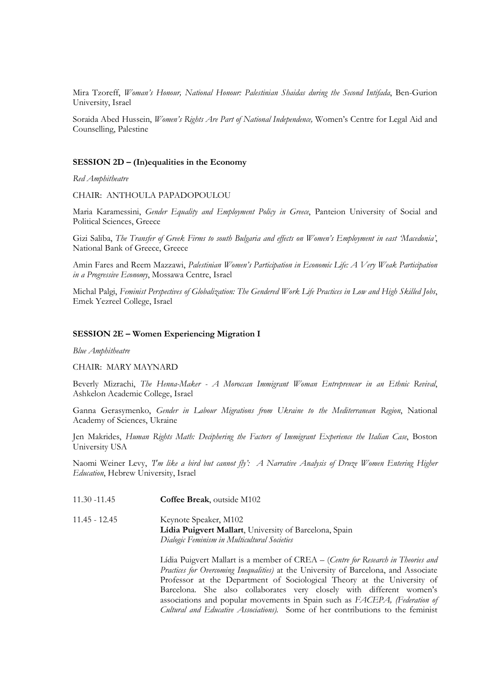Mira Tzoreff, *Woman's Honour, National Honour: Palestinian Shaidas during the Second Intifada*, Ben-Gurion University, Israel

Soraida Abed Hussein, *Women's Rights Are Part of National Independence,* Women's Centre for Legal Aid and Counselling, Palestine

#### **SESSION 2D – (In)equalities in the Economy**

*Red Amphitheatre* 

CHAIR: ANTHOULA PAPADOPOULOU

Maria Karamessini, *Gender Equality and Employment Policy in Greece*, Panteion University of Social and Political Sciences, Greece

Gizi Saliba, *The Transfer of Greek Firms to south Bulgaria and effects on Women's Employment in east 'Macedonia'*, National Bank of Greece, Greece

Amin Fares and Reem Mazzawi, *Palestinian Women's Participation in Economic Life: A Very Weak Participation in a Progressive Economy*, Mossawa Centre, Israel

Michal Palgi, *Feminist Perspectives of Globalization: The Gendered Work Life Practices in Low and High Skilled Jobs*, Emek Yezreel College, Israel

#### **SESSION 2E – Women Experiencing Migration I**

*Blue Amphitheatre* 

CHAIR: MARY MAYNARD

Beverly Mizrachi, *The Henna-Maker - A Moroccan Immigrant Woman Entrepreneur in an Ethnic Revival*, Ashkelon Academic College, Israel

Ganna Gerasymenko, *Gender in Labour Migrations from Ukraine to the Mediterranean Region*, National Academy of Sciences, Ukraine

Jen Makrides, *Human Rights Math: Deciphering the Factors of Immigrant Experience the Italian Case*, Boston University USA

Naomi Weiner Levy, *'I'm like a bird but cannot fly': A Narrative Analysis of Druze Women Entering Higher Education*, Hebrew University, Israel

| 11.30 -11.45  | <b>Coffee Break</b> , outside M102                                                                                              |
|---------------|---------------------------------------------------------------------------------------------------------------------------------|
| 11.45 - 12.45 | Keynote Speaker, M102<br>Lídia Puigvert Mallart, University of Barcelona, Spain<br>Dialogic Feminism in Multicultural Societies |

Lídia Puigvert Mallart is a member of CREA – (*Centre for Research in Theories and Practices for Overcoming Inequalities)* at the University of Barcelona, and Associate Professor at the Department of Sociological Theory at the University of Barcelona. She also collaborates very closely with different women's associations and popular movements in Spain such as *FACEPA, (Federation of Cultural and Educative Associations).* Some of her contributions to the feminist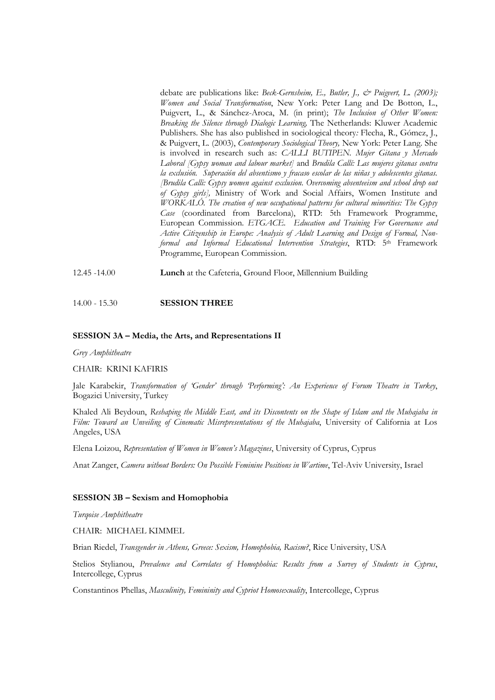debate are publications like: *Beck-Gernsheim, E., Butler, J., & Puigvert, L. (2003); Women and Social Transformation*, New York: Peter Lang and De Botton, L., Puigvert, L., & Sánchez-Aroca, M. (in print); *The Inclusion of Other Women: Breaking the Silence through Dialogic Learning,* The Netherlands: Kluwer Academic Publishers. She has also published in sociological theory*:* Flecha, R., Gómez, J., & Puigvert, L. (2003), *Contemporary Sociological Theory,* New York: Peter Lang. She is involved in research such as: *CALLI BUTIPEN. Mujer Gitana y Mercado Laboral [Gypsy woman and labour market]* and *Brudila Callí: Las mujeres gitanas contra la exclusión. Superación del absentismo y fracaso escolar de las niñas y adolescentes gitanas. [Brudila Calli: Gypsy women against exclusion. Overcoming absenteeism and school drop out of Gypsy girls],* Ministry of Work and Social Affairs, Women Institute and *WORKALÓ. The creation of new occupational patterns for cultural minorities: The Gypsy Case* (coordinated from Barcelona), RTD: 5th Framework Programme, European Commission. *ETGACE. Education and Training For Governance and Active Citizenship in Europe: Analysis of Adult Learning and Design of Formal, Nonformal and Informal Educational Intervention Strategies*, RTD: 5th Framework Programme, European Commission.

12.45 -14.00 **Lunch** at the Cafeteria, Ground Floor, Millennium Building

#### 14.00 - 15.30 **SESSION THREE**

#### **SESSION 3A – Media, the Arts, and Representations II**

*Grey Amphitheatre* 

CHAIR: KRINI KAFIRIS

Jale Karabekir, *Transformation of 'Gender' through 'Performing': An Experience of Forum Theatre in Turkey*, Bogazici University, Turkey

Khaled Ali Beydoun, *Reshaping the Middle East, and its Discontents on the Shape of Islam and the Muhajaba in Film: Toward an Unveiling of Cinematic Misrepresentations of the Muhajaba*, University of California at Los Angeles, USA

Elena Loizou, *Representation of Women in Women's Magazines*, University of Cyprus, Cyprus

Anat Zanger, *Camera without Borders: On Possible Feminine Positions in Wartime*, Tel-Aviv University, Israel

#### **SESSION 3B – Sexism and Homophobia**

*Turqoise Amphitheatre* 

CHAIR: MICHAEL KIMMEL

Brian Riedel, *Transgender in Athens, Greece: Sexism, Homophobia, Racism?*, Rice University, USA

Stelios Stylianou, *Prevalence and Correlates of Homophobia: Results from a Survey of Students in Cyprus*, Intercollege, Cyprus

Constantinos Phellas, *Masculinity, Femininity and Cypriot Homosexuality*, Intercollege, Cyprus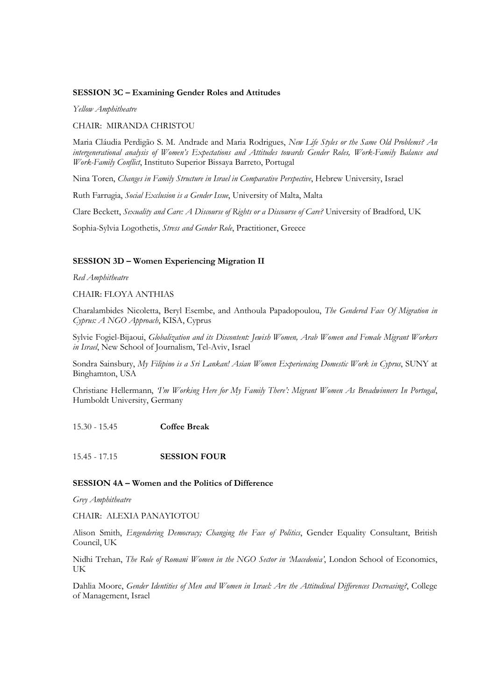# **SESSION 3C – Examining Gender Roles and Attitudes**

*Yellow Amphitheatre* 

CHAIR: MIRANDA CHRISTOU

Maria Cláudia Perdigão S. M. Andrade and Maria Rodrigues, *New Life Styles or the Same Old Problems? An intergenerational analysis of Women's Expectations and Attitudes towards Gender Roles, Work-Family Balance and Work-Family Conflict*, Instituto Superior Bissaya Barreto, Portugal

Nina Toren, *Changes in Family Structure in Israel in Comparative Perspective*, Hebrew University, Israel

Ruth Farrugia, *Social Exclusion is a Gender Issue*, University of Malta, Malta

Clare Beckett, *Sexuality and Care: A Discourse of Rights or a Discourse of Care?* University of Bradford, UK

Sophia-Sylvia Logothetis, *Stress and Gender Role*, Practitioner, Greece

# **SESSION 3D – Women Experiencing Migration II**

*Red Amphitheatre* 

CHAIR: FLOYA ANTHIAS

Charalambides Nicoletta, Beryl Esembe, and Anthoula Papadopoulou, *The Gendered Face Of Migration in Cyprus: A NGO Approach*, KISA, Cyprus

Sylvie Fogiel-Bijaoui, *Globalization and its Discontent: Jewish Women, Arab Women and Female Migrant Workers in Israel*, New School of Journalism, Tel-Aviv, Israel

Sondra Sainsbury, *My Filipino is a Sri Lankan! Asian Women Experiencing Domestic Work in Cyprus*, SUNY at Binghamton, USA

Christiane Hellermann, *'I'm Working Here for My Family There': Migrant Women As Breadwinners In Portugal*, Humboldt University, Germany

15.30 - 15.45 **Coffee Break** 

15.45 - 17.15 **SESSION FOUR** 

# **SESSION 4A – Women and the Politics of Difference**

*Grey Amphitheatre* 

CHAIR: ALEXIA PANAYIOTOU

Alison Smith, *Engendering Democracy; Changing the Face of Politics*, Gender Equality Consultant, British Council, UK

Nidhi Trehan, *The Role of Romani Women in the NGO Sector in 'Macedonia'*, London School of Economics, UK

Dahlia Moore, *Gender Identities of Men and Women in Israel: Are the Attitudinal Differences Decreasing?*, College of Management, Israel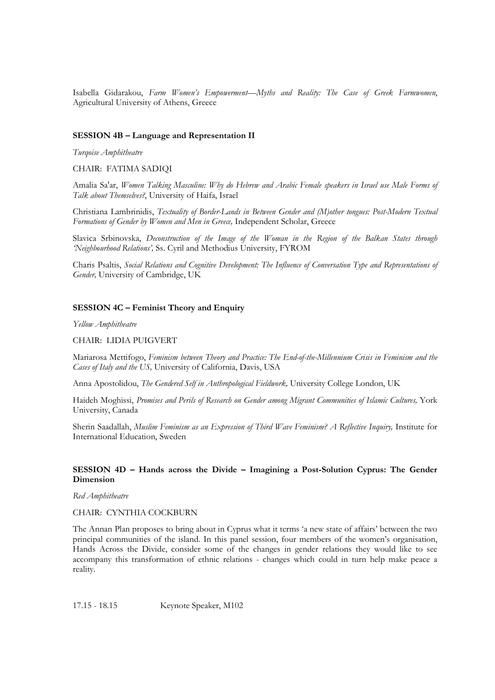Isabella Gidarakou, *Farm Women's Empowerment—Myths and Reality: The Case of Greek Farmwomen*, Agricultural University of Athens, Greece

#### **SESSION 4B – Language and Representation II**

*Turqoise Amphitheatre* 

CHAIR: FATIMA SADIQI

Amalia Sa'ar, *Women Talking Masculine: Why do Hebrew and Arabic Female speakers in Israel use Male Forms of Talk about Themselves?*, University of Haifa, Israel

Christiana Lambrinidis, *Textuality of Border-Lands in Between Gender and (M)other tongues: Post-Modern Textual Formations of Gender by Women and Men in Greece,* Independent Scholar, Greece

Slavica Srbinovska, *Deconstruction of the Image of the Woman in the Region of the Balkan States through 'Neighbourhood Relations',* Ss. Cyril and Methodius University, FYROM

Charis Psaltis, *Social Relations and Cognitive Development: The Influence of Conversation Type and Representations of Gender,* University of Cambridge, UK

# **SESSION 4C – Feminist Theory and Enquiry**

*Yellow Amphitheatre* 

#### CHAIR: LIDIA PUIGVERT

Mariarosa Mettifogo, *Feminism between Theory and Practice: The End-of-the-Millennium Crisis in Feminism and the Cases of Italy and the US,* University of California, Davis, USA

Anna Apostolidou, *The Gendered Self in Anthropological Fieldwork,* University College London, UK

Haideh Moghissi, *Promises and Perils of Research on Gender among Migrant Communities of Islamic Cultures,* York University, Canada

Sherin Saadallah, *Muslim Feminism as an Expression of Third Wave Feminism? A Reflective Inquiry,* Institute for International Education, Sweden

# **SESSION 4D – Hands across the Divide – Imagining a Post-Solution Cyprus: The Gender Dimension**

*Red Amphitheatre* 

# CHAIR: CYNTHIA COCKBURN

The Annan Plan proposes to bring about in Cyprus what it terms 'a new state of affairs' between the two principal communities of the island. In this panel session, four members of the women's organisation, Hands Across the Divide, consider some of the changes in gender relations they would like to see accompany this transformation of ethnic relations - changes which could in turn help make peace a reality.

17.15 - 18.15 Keynote Speaker, M102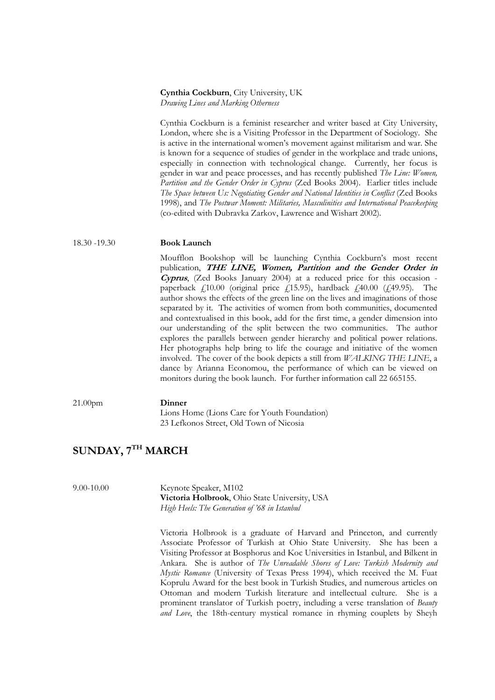#### **Cynthia Cockburn**, City University, UK *Drawing Lines and Marking Otherness*

Cynthia Cockburn is a feminist researcher and writer based at City University, London, where she is a Visiting Professor in the Department of Sociology. She is active in the international women's movement against militarism and war. She is known for a sequence of studies of gender in the workplace and trade unions, especially in connection with technological change. Currently, her focus is gender in war and peace processes, and has recently published *The Line: Women, Partition and the Gender Order in Cyprus* (Zed Books 2004). Earlier titles include *The Space between Us: Negotiating Gender and National Identities in Conflict* (Zed Books 1998), and *The Postwar Moment: Militaries, Masculinities and International Peacekeeping* (co-edited with Dubravka Zarkov, Lawrence and Wishart 2002).

#### 18.30 -19.30 **Book Launch**

Moufflon Bookshop will be launching Cynthia Cockburn's most recent publication, **THE LINE, Women, Partition and the Gender Order in Cyprus**, (Zed Books January 2004) at a reduced price for this occasion paperback  $f_1$ 10.00 (original price  $f_1$ 15.95), hardback  $f_2$ 40.00 ( $f_3$ 49.95). The author shows the effects of the green line on the lives and imaginations of those separated by it. The activities of women from both communities, documented and contextualised in this book, add for the first time, a gender dimension into our understanding of the split between the two communities. The author explores the parallels between gender hierarchy and political power relations. Her photographs help bring to life the courage and initiative of the women involved. The cover of the book depicts a still from *WALKING THE LINE*, a dance by Arianna Economou, the performance of which can be viewed on monitors during the book launch. For further information call 22 665155.

21.00pm **Dinner**

Lions Home (Lions Care for Youth Foundation) 23 Lefkonos Street, Old Town of Nicosia

# **SUNDAY, 7TH MARCH**

9.00-10.00 Keynote Speaker, M102 **Victoria Holbrook**, Ohio State University, USA *High Heels: The Generation of '68 in Istanbul* 

> Victoria Holbrook is a graduate of Harvard and Princeton, and currently Associate Professor of Turkish at Ohio State University. She has been a Visiting Professor at Bosphorus and Koc Universities in Istanbul, and Bilkent in Ankara. She is author of *The Unreadable Shores of Love: Turkish Modernity and Mystic Romance* (University of Texas Press 1994), which received the M. Fuat Koprulu Award for the best book in Turkish Studies, and numerous articles on Ottoman and modern Turkish literature and intellectual culture. She is a prominent translator of Turkish poetry, including a verse translation of *Beauty and Love*, the 18th-century mystical romance in rhyming couplets by Sheyh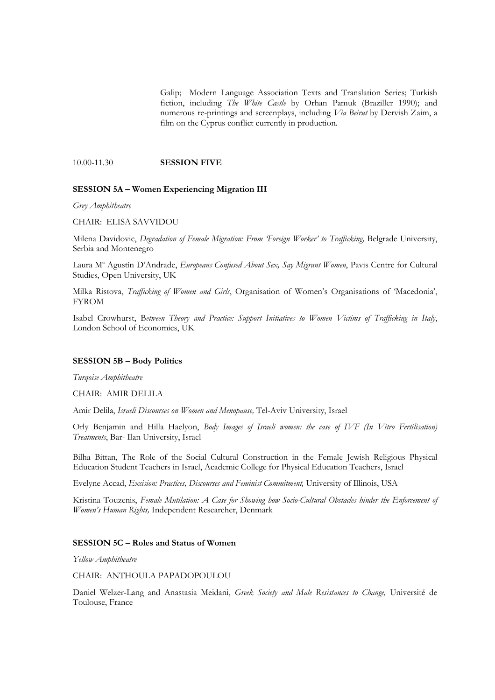Galip; Modern Language Association Texts and Translation Series; Turkish fiction, including *The White Castle* by Orhan Pamuk (Braziller 1990); and numerous re-printings and screenplays, including *Via Beirut* by Dervish Zaim, a film on the Cyprus conflict currently in production.

#### 10.00-11.30 **SESSION FIVE**

#### **SESSION 5A – Women Experiencing Migration III**

*Grey Amphitheatre* 

CHAIR: ELISA SAVVIDOU

Milena Davidovic, *Degradation of Female Migration: From 'Foreign Worker' to Trafficking,* Belgrade University, Serbia and Montenegro

Laura Mª Agustín D'Andrade, *Europeans Confused About Sex, Say Migrant Women*, Pavis Centre for Cultural Studies, Open University, UK

Milka Ristova, *Trafficking of Women and Girls*, Organisation of Women's Organisations of 'Macedonia', FYROM

Isabel Crowhurst, B*etween Theory and Practice: Support Initiatives to Women Victims of Trafficking in Italy*, London School of Economics, UK

#### **SESSION 5B – Body Politics**

*Turqoise Amphitheatre* 

CHAIR: AMIR DELILA

Amir Delila, *Israeli Discourses on Women and Menopause,* Tel-Aviv University, Israel

Orly Benjamin and Hilla Haelyon, *Body Images of Israeli women: the case of IVF (In Vitro Fertilisation) Treatments*, Bar- Ilan University, Israel

Bilha Bittan, The Role of the Social Cultural Construction in the Female Jewish Religious Physical Education Student Teachers in Israel, Academic College for Physical Education Teachers, Israel

Evelyne Accad, *Excision: Practices, Discourses and Feminist Commitment,* University of Illinois, USA

Kristina Touzenis, *Female Mutilation: A Case for Showing how Socio-Cultural Obstacles hinder the Enforcement of Women's Human Rights,* Independent Researcher, Denmark

# **SESSION 5C – Roles and Status of Women**

*Yellow Amphitheatre* 

CHAIR: ANTHOULA PAPADOPOULOU

Daniel Welzer-Lang and Anastasia Meidani, *Greek Society and Male Resistances to Change,* Université de Toulouse, France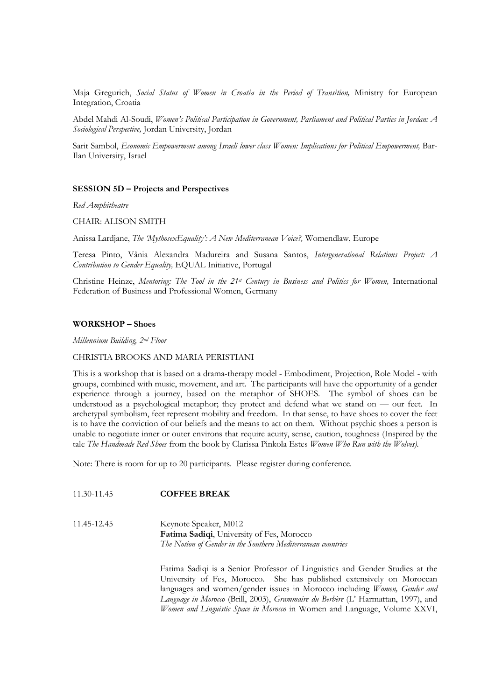Maja Gregurich, *Social Status of Women in Croatia in the Period of Transition,* Ministry for European Integration, Croatia

Abdel Mahdi Al-Soudi, *Women's Political Participation in Government, Parliament and Political Parties in Jordan: A Sociological Perspective,* Jordan University, Jordan

Sarit Sambol, *Economic Empowerment among Israeli lower class Women: Implications for Political Empowerment,* Bar-Ilan University, Israel

#### **SESSION 5D – Projects and Perspectives**

*Red Amphitheatre* 

CHAIR: ALISON SMITH

Anissa Lardjane, *The 'MythosexEquality': A New Mediterranean Voice?,* Womendlaw, Europe

Teresa Pinto, Vânia Alexandra Madureira and Susana Santos, *Intergenerational Relations Project: A Contribution to Gender Equality,* EQUAL Initiative, Portugal

Christine Heinze, *Mentoring: The Tool in the 21st Century in Business and Politics for Women,* International Federation of Business and Professional Women, Germany

#### **WORKSHOP – Shoes**

*Millennium Building, 2nd Floor* 

#### CHRISTIA BROOKS AND MARIA PERISTIANI

This is a workshop that is based on a drama-therapy model - Embodiment, Projection, Role Model - with groups, combined with music, movement, and art. The participants will have the opportunity of a gender experience through a journey, based on the metaphor of SHOES. The symbol of shoes can be understood as a psychological metaphor; they protect and defend what we stand on — our feet. In archetypal symbolism, feet represent mobility and freedom. In that sense, to have shoes to cover the feet is to have the conviction of our beliefs and the means to act on them. Without psychic shoes a person is unable to negotiate inner or outer environs that require acuity, sense, caution, toughness (Inspired by the tale *The Handmade Red Shoes* from the book by Clarissa Pinkola Estes *Women Who Run with the Wolves).* 

Note: There is room for up to 20 participants. Please register during conference.

#### 11.30-11.45 **COFFEE BREAK**

11.45-12.45 Keynote Speaker, M012 **Fatima Sadiqi**, University of Fes, Morocco *The Notion of Gender in the Southern Mediterranean countries*

> Fatima Sadiqi is a Senior Professor of Linguistics and Gender Studies at the University of Fes, Morocco. She has published extensively on Moroccan languages and women/gender issues in Morocco including *Women, Gender and Language in Morocco* (Brill, 2003), *Grammaire du Berbère* (L' Harmattan, 1997), and *Women and Linguistic Space in Morocco* in Women and Language, Volume XXVI,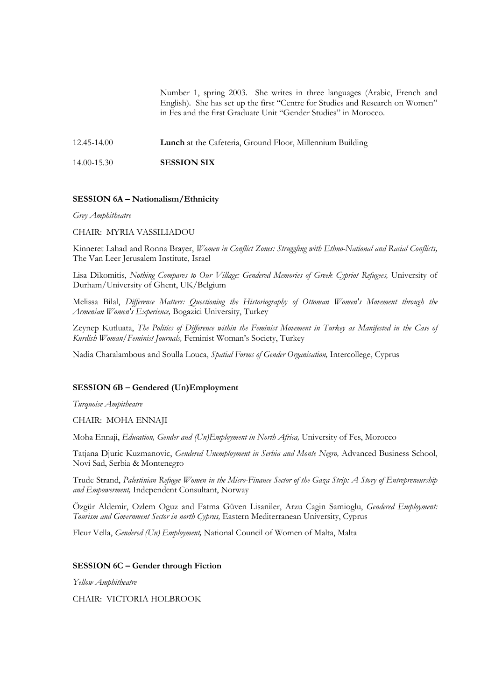Number 1, spring 2003. She writes in three languages (Arabic, French and English). She has set up the first "Centre for Studies and Research on Women" in Fes and the first Graduate Unit "Gender Studies" in Morocco.

12.45-14.00 **Lunch** at the Cafeteria, Ground Floor, Millennium Building

14.00-15.30 **SESSION SIX** 

# **SESSION 6A – Nationalism/Ethnicity**

*Grey Amphitheatre* 

CHAIR: MYRIA VASSILIADOU

Kinneret Lahad and Ronna Brayer, *Women in Conflict Zones: Struggling with Ethno-National and Racial Conflicts,* The Van Leer Jerusalem Institute, Israel

Lisa Dikomitis, *Nothing Compares to Our Village: Gendered Memories of Greek Cypriot Refugees,* University of Durham/University of Ghent, UK/Belgium

Melissa Bilal, *Difference Matters: Questioning the Historiography of Ottoman Women's Movement through the Armenian Women's Experience,* Bogazici University, Turkey

Zeynep Kutluata, *The Politics of Difference within the Feminist Movement in Turkey as Manifested in the Case of Kurdish Woman/Feminist Journals,* Feminist Woman's Society, Turkey

Nadia Charalambous and Soulla Louca, *Spatial Forms of Gender Organisation,* Intercollege, Cyprus

# **SESSION 6B – Gendered (Un)Employment**

*Turquoise Ampitheatre* 

CHAIR: MOHA ENNAJI

Moha Ennaji, *Education, Gender and (Un)Employment in North Africa,* University of Fes, Morocco

Tatjana Djuric Kuzmanovic, *Gendered Unemployment in Serbia and Monte Negro,* Advanced Business School, Novi Sad, Serbia & Montenegro

Trude Strand, *Palestinian Refugee Women in the Micro-Finance Sector of the Gaza Strip: A Story of Entrepreneurship and Empowerment,* Independent Consultant, Norway

Özgür Aldemir, Ozlem Oguz and Fatma Güven Lisaniler, Arzu Cagin Samioglu, *Gendered Employment: Tourism and Government Sector in north Cyprus,* Eastern Mediterranean University, Cyprus

Fleur Vella, *Gendered (Un) Employment,* National Council of Women of Malta, Malta

#### **SESSION 6C – Gender through Fiction**

*Yellow Amphitheatre* 

CHAIR: VICTORIA HOLBROOK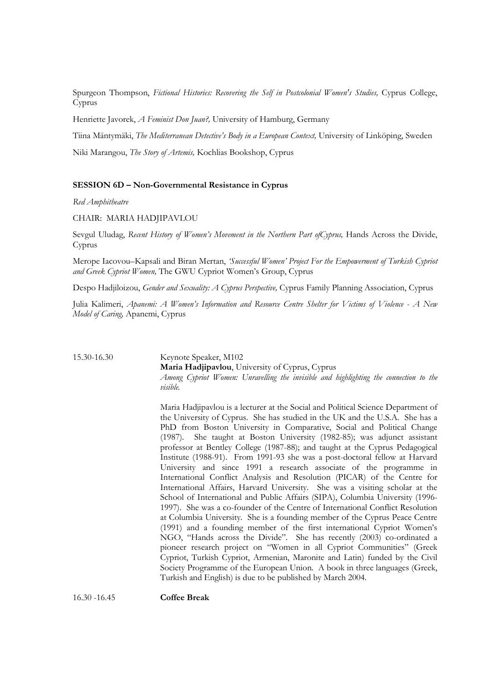Spurgeon Thompson, *Fictional Histories: Recovering the Self in Postcolonial Women's Studies,* Cyprus College, Cyprus

Henriette Javorek, *A Feminist Don Juan?,* University of Hamburg, Germany

Tiina Mäntymäki, *The Mediterranean Detective's Body in a European Context,* University of Linköping, Sweden

Niki Marangou, *The Story of Artemis,* Kochlias Bookshop, Cyprus

### **SESSION 6D – Non-Governmental Resistance in Cyprus**

*Red Amphitheatre* 

CHAIR: MARIA HADJIPAVLOU

Sevgul Uludag, *Recent History of Women's Movement in the Northern Part ofCyprus,* Hands Across the Divide, Cyprus

Merope Iacovou–Kapsali and Biran Mertan, *'Successful Women' Project For the Empowerment of Turkish Cypriot and Greek Cypriot Women,* The GWU Cypriot Women's Group, Cyprus

Despo Hadjiloizou, *Gender and Sexuality: A Cyprus Perspective,* Cyprus Family Planning Association, Cyprus

Julia Kalimeri, *Apanemi: A Women's Information and Resource Centre Shelter for Victims of Violence - A New Model of Caring,* Apanemi, Cyprus

15.30-16.30 Keynote Speaker, M102 **Maria Hadjipavlou**, University of Cyprus, Cyprus *Among Cypriot Women: Unravelling the invisible and highlighting the connection to the visible.* 

> Maria Hadjipavlou is a lecturer at the Social and Political Science Department of the University of Cyprus. She has studied in the UK and the U.S.A. She has a PhD from Boston University in Comparative, Social and Political Change (1987). She taught at Boston University (1982-85); was adjunct assistant professor at Bentley College (1987-88); and taught at the Cyprus Pedagogical Institute (1988-91). From 1991-93 she was a post-doctoral fellow at Harvard University and since 1991 a research associate of the programme in International Conflict Analysis and Resolution (PICAR) of the Centre for International Affairs, Harvard University. She was a visiting scholar at the School of International and Public Affairs (SIPA), Columbia University (1996- 1997). She was a co-founder of the Centre of International Conflict Resolution at Columbia University. She is a founding member of the Cyprus Peace Centre (1991) and a founding member of the first international Cypriot Women's NGO, "Hands across the Divide". She has recently (2003) co-ordinated a pioneer research project on "Women in all Cypriot Communities" (Greek Cypriot, Turkish Cypriot, Armenian, Maronite and Latin) funded by the Civil Society Programme of the European Union. A book in three languages (Greek, Turkish and English) is due to be published by March 2004.

16.30 -16.45 **Coffee Break**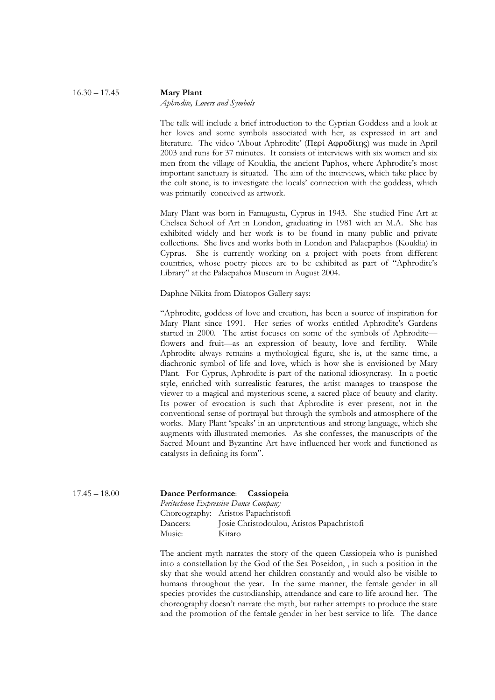#### 16.30 – 17.45 **Mary Plant** *Aphrodite, Lovers and Symbols*

The talk will include a brief introduction to the Cyprian Goddess and a look at her loves and some symbols associated with her, as expressed in art and literature. The video 'About Aphrodite' (Περί Αφροδίτης) was made in April 2003 and runs for 37 minutes. It consists of interviews with six women and six men from the village of Kouklia, the ancient Paphos, where Aphrodite's most important sanctuary is situated. The aim of the interviews, which take place by the cult stone, is to investigate the locals' connection with the goddess, which was primarily conceived as artwork.

Mary Plant was born in Famagusta, Cyprus in 1943. She studied Fine Art at Chelsea School of Art in London, graduating in 1981 with an M.A. She has exhibited widely and her work is to be found in many public and private collections. She lives and works both in London and Palaepaphos (Kouklia) in Cyprus. She is currently working on a project with poets from different countries, whose poetry pieces are to be exhibited as part of "Aphrodite's Library" at the Palaepahos Museum in August 2004.

Daphne Nikita from Diatopos Gallery says:

"Aphrodite, goddess of love and creation, has been a source of inspiration for Mary Plant since 1991. Her series of works entitled Aphrodite's Gardens started in 2000. The artist focuses on some of the symbols of Aphrodite flowers and fruit—as an expression of beauty, love and fertility. While Aphrodite always remains a mythological figure, she is, at the same time, a diachronic symbol of life and love, which is how she is envisioned by Mary Plant. For Cyprus, Aphrodite is part of the national idiosyncrasy. In a poetic style, enriched with surrealistic features, the artist manages to transpose the viewer to a magical and mysterious scene, a sacred place of beauty and clarity. Its power of evocation is such that Aphrodite is ever present, not in the conventional sense of portrayal but through the symbols and atmosphere of the works. Mary Plant 'speaks' in an unpretentious and strong language, which she augments with illustrated memories. As she confesses, the manuscripts of the Sacred Mount and Byzantine Art have influenced her work and functioned as catalysts in defining its form".

| Dancers: |        | Josie Christodoulou, Aristos Papachristofi                                                                   |
|----------|--------|--------------------------------------------------------------------------------------------------------------|
| Music:   | Kitaro |                                                                                                              |
|          |        | Dance Performance: Cassiopeia<br>Peritechnon Expressive Dance Company<br>Choreography: Aristos Papachristofi |

The ancient myth narrates the story of the queen Cassiopeia who is punished into a constellation by the God of the Sea Poseidon, , in such a position in the sky that she would attend her children constantly and would also be visible to humans throughout the year. In the same manner, the female gender in all species provides the custodianship, attendance and care to life around her. The choreography doesn't narrate the myth, but rather attempts to produce the state and the promotion of the female gender in her best service to life. The dance